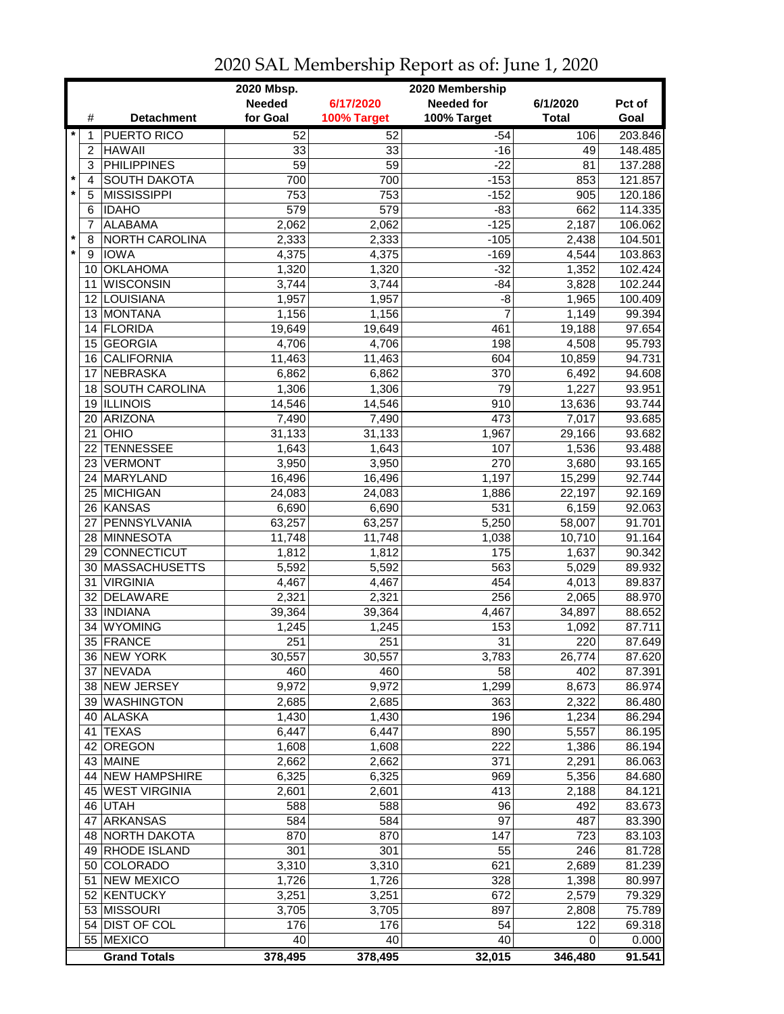|         |                 | 2020 Mbsp.<br>2020 Membership |                 |             |                   |              |                  |  |
|---------|-----------------|-------------------------------|-----------------|-------------|-------------------|--------------|------------------|--|
|         |                 |                               | <b>Needed</b>   | 6/17/2020   | <b>Needed for</b> | 6/1/2020     | Pct of           |  |
|         | #               | <b>Detachment</b>             | for Goal        | 100% Target | 100% Target       | <b>Total</b> | Goal             |  |
| $\star$ | 1               | <b>PUERTO RICO</b>            | 52              | 52          | $-54$             | 106          | 203.846          |  |
|         | 2               | <b>HAWAII</b>                 | 33              | 33          | $-16$             | 49           | 148.485          |  |
|         | 3               | <b>PHILIPPINES</b>            | $\overline{59}$ | 59          | $-22$             | 81           | 137.288          |  |
| $\star$ | $\overline{4}$  | <b>SOUTH DAKOTA</b>           | 700             | 700         | $-153$            | 853          | 121.857          |  |
| $\star$ | 5               | <b>MISSISSIPPI</b>            | 753             | 753         | $-152$            | 905          | 120.186          |  |
|         | 6               | <b>IDAHO</b>                  | 579             | 579         | $-83$             | 662          | 114.335          |  |
|         | 7               | <b>ALABAMA</b>                | 2,062           | 2,062       | $-125$            | 2,187        | 106.062          |  |
| *       | 8               | NORTH CAROLINA                | 2,333           | 2,333       | $-105$            | 2,438        | 104.501          |  |
| $\star$ | 9               | <b>IOWA</b>                   | 4,375           | 4,375       | $-169$            | 4,544        | 103.863          |  |
|         | 10 <sup>°</sup> | <b>OKLAHOMA</b>               | 1,320           | 1,320       | $-32$             | 1,352        | 102.424          |  |
|         | 11              | <b>WISCONSIN</b>              | 3,744           | 3,744       | $-84$             | 3,828        | 102.244          |  |
|         | 12 <sup>2</sup> | LOUISIANA                     | 1,957           | 1,957       | $-8$              | 1,965        | 100.409          |  |
|         | 13              | MONTANA                       | 1,156           | 1,156       | $\overline{7}$    | 1,149        | 99.394           |  |
|         |                 | 14 FLORIDA                    | 19,649          | 19,649      | 461               | 19,188       | 97.654           |  |
|         | 15 <sup>1</sup> | GEORGIA                       | 4,706           | 4,706       | 198               | 4,508        | 95.793           |  |
|         | 16              | <b>CALIFORNIA</b>             | 11,463          | 11,463      | 604               | 10,859       | 94.731           |  |
|         | 17              | <b>NEBRASKA</b>               | 6,862           | 6,862       | 370               | 6,492        | 94.608           |  |
|         |                 | 18 SOUTH CAROLINA             | 1,306           | 1,306       | 79                | 1,227        | 93.951           |  |
|         |                 | <b>ILLINOIS</b>               |                 |             | 910               |              | 93.744           |  |
|         | 19              | <b>ARIZONA</b>                | 14,546          | 14,546      | 473               | 13,636       |                  |  |
|         | 20              |                               | 7,490           | 7,490       |                   | 7,017        | 93.685<br>93.682 |  |
|         | 21              | OHIO                          | 31,133          | 31,133      | 1,967             | 29,166       |                  |  |
|         | 22              | <b>TENNESSEE</b>              | 1,643           | 1,643       | 107               | 1,536        | 93.488           |  |
|         |                 | 23 VERMONT                    | 3,950           | 3,950       | 270               | 3,680        | 93.165           |  |
|         |                 | 24 MARYLAND                   | 16,496          | 16,496      | 1,197             | 15,299       | 92.744           |  |
|         |                 | 25 MICHIGAN                   | 24,083          | 24,083      | 1,886             | 22,197       | 92.169           |  |
|         |                 | 26 KANSAS                     | 6,690           | 6,690       | $\overline{531}$  | 6,159        | 92.063           |  |
|         | 27              | PENNSYLVANIA                  | 63,257          | 63,257      | 5,250             | 58,007       | 91.701           |  |
|         |                 | 28 MINNESOTA                  | 11,748          | 11,748      | 1,038             | 10,710       | 91.164           |  |
|         |                 | 29 CONNECTICUT                | 1,812           | 1,812       | 175               | 1,637        | 90.342           |  |
|         | 30              | <b>MASSACHUSETTS</b>          | 5,592           | 5,592       | 563               | 5,029        | 89.932           |  |
|         | 31              | <b>VIRGINIA</b>               | 4,467           | 4,467       | 454               | 4,013        | 89.837           |  |
|         | 32              | <b>DELAWARE</b>               | 2,321           | 2,321       | 256               | 2,065        | 88.970           |  |
|         |                 | 33   INDIANA                  | 39,364          | 39,364      | 4,467             | 34,897       | 88.652           |  |
|         | 34              | <b>WYOMING</b>                | 1,245           | 1,245       | 153               | 1,092        | 87.711           |  |
|         |                 | 35 FRANCE                     | 251             | 251         | 31                | 220          | 87.649           |  |
|         |                 | 36 INEW YORK                  | 30,557          | 30,557      | 3,783             | 26,774       | 87.620           |  |
|         |                 | 37 NEVADA                     | 460             | 460         | 58                | 402          | 87.391           |  |
|         |                 | 38 NEW JERSEY                 | 9,972           | 9,972       | 1,299             | 8,673        | 86.974           |  |
|         |                 | 39 WASHINGTON                 | 2,685           | 2,685       | 363               | 2,322        | 86.480           |  |
|         |                 | 40 ALASKA                     | 1,430           | 1,430       | 196               | 1,234        | 86.294           |  |
|         |                 | 41 TEXAS                      | 6,447           | 6,447       | 890               | 5,557        | 86.195           |  |
|         | 42              | OREGON                        | 1,608           | 1,608       | 222               | 1,386        | 86.194           |  |
|         |                 | 43 MAINE                      | 2,662           | 2,662       | 371               | 2,291        | 86.063           |  |
|         |                 | 44 NEW HAMPSHIRE              | 6,325           | 6,325       | 969               | 5,356        | 84.680           |  |
|         |                 | 45 WEST VIRGINIA              | 2,601           | 2,601       | 413               | 2,188        | 84.121           |  |
|         |                 | 46 UTAH                       | 588             | 588         | 96                | 492          | 83.673           |  |
|         | 47              | <b>ARKANSAS</b>               | 584             | 584         | 97                | 487          | 83.390           |  |
|         |                 | 48 NORTH DAKOTA               | 870             | 870         | 147               | 723          | 83.103           |  |
|         |                 | 49 RHODE ISLAND               | 301             | 301         | 55                | 246          | 81.728           |  |
|         |                 | 50 COLORADO                   | 3,310           | 3,310       | 621               | 2,689        | 81.239           |  |
|         | 51              | <b>NEW MEXICO</b>             | 1,726           | 1,726       | 328               | 1,398        | 80.997           |  |
|         |                 | 52 KENTUCKY                   | 3,251           | 3,251       | 672               | 2,579        | 79.329           |  |
|         |                 | 53 MISSOURI                   | 3,705           | 3,705       | 897               | 2,808        | 75.789           |  |
|         |                 | 54 DIST OF COL                | 176             | 176         | 54                | 122          | 69.318           |  |
|         |                 | 55 MEXICO                     | 40              | 40          | 40                | 0            | 0.000            |  |
|         |                 | <b>Grand Totals</b>           | 378,495         | 378,495     | 32,015            | 346,480      | 91.541           |  |

2020 SAL Membership Report as of: June 1, 2020